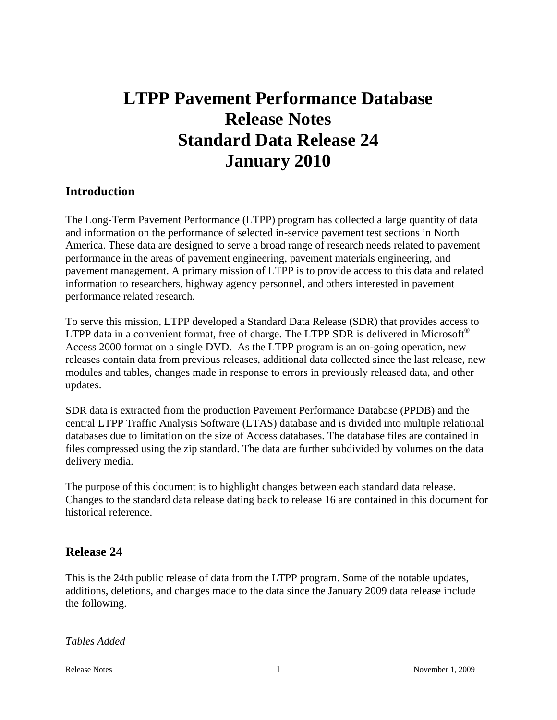# **LTPP Pavement Performance Database Release Notes Standard Data Release 24 January 2010**

# **Introduction**

The Long-Term Pavement Performance (LTPP) program has collected a large quantity of data and information on the performance of selected in-service pavement test sections in North America. These data are designed to serve a broad range of research needs related to pavement performance in the areas of pavement engineering, pavement materials engineering, and pavement management. A primary mission of LTPP is to provide access to this data and related information to researchers, highway agency personnel, and others interested in pavement performance related research.

To serve this mission, LTPP developed a Standard Data Release (SDR) that provides access to LTPP data in a convenient format, free of charge. The LTPP SDR is delivered in Microsoft<sup>®</sup> Access 2000 format on a single DVD. As the LTPP program is an on-going operation, new releases contain data from previous releases, additional data collected since the last release, new modules and tables, changes made in response to errors in previously released data, and other updates.

SDR data is extracted from the production Pavement Performance Database (PPDB) and the central LTPP Traffic Analysis Software (LTAS) database and is divided into multiple relational databases due to limitation on the size of Access databases. The database files are contained in files compressed using the zip standard. The data are further subdivided by volumes on the data delivery media.

The purpose of this document is to highlight changes between each standard data release. Changes to the standard data release dating back to release 16 are contained in this document for historical reference.

# **Release 24**

This is the 24th public release of data from the LTPP program. Some of the notable updates, additions, deletions, and changes made to the data since the January 2009 data release include the following.

*Tables Added*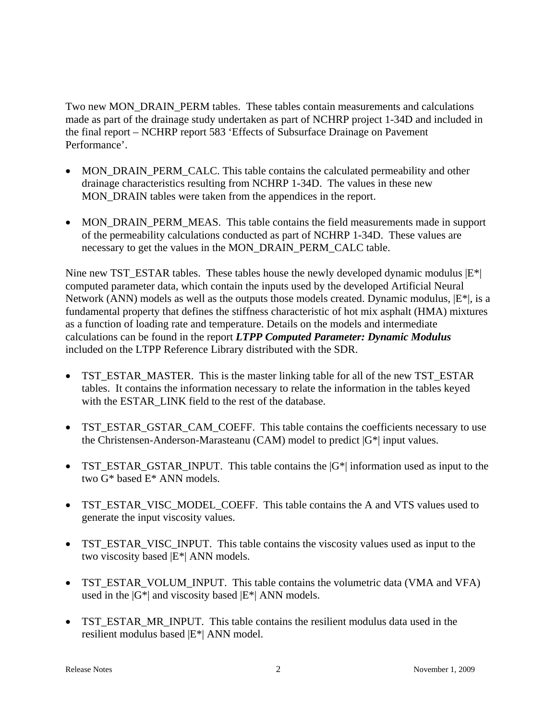Two new MON\_DRAIN\_PERM tables. These tables contain measurements and calculations made as part of the drainage study undertaken as part of NCHRP project 1-34D and included in the final report – NCHRP report 583 'Effects of Subsurface Drainage on Pavement Performance'.

- MON DRAIN PERM CALC. This table contains the calculated permeability and other drainage characteristics resulting from NCHRP 1-34D. The values in these new MON DRAIN tables were taken from the appendices in the report.
- MON\_DRAIN\_PERM\_MEAS. This table contains the field measurements made in support of the permeability calculations conducted as part of NCHRP 1-34D. These values are necessary to get the values in the MON\_DRAIN\_PERM\_CALC table.

Nine new TST\_ESTAR tables. These tables house the newly developed dynamic modulus  $|E^*|$ computed parameter data, which contain the inputs used by the developed Artificial Neural Network (ANN) models as well as the outputs those models created. Dynamic modulus,  $|E^*|$ , is a fundamental property that defines the stiffness characteristic of hot mix asphalt (HMA) mixtures as a function of loading rate and temperature. Details on the models and intermediate calculations can be found in the report *LTPP Computed Parameter: Dynamic Modulus* included on the LTPP Reference Library distributed with the SDR.

- TST\_ESTAR\_MASTER. This is the master linking table for all of the new TST\_ESTAR tables. It contains the information necessary to relate the information in the tables keyed with the ESTAR\_LINK field to the rest of the database.
- TST\_ESTAR\_GSTAR\_CAM\_COEFF. This table contains the coefficients necessary to use the Christensen-Anderson-Marasteanu (CAM) model to predict  $|G^*|$  input values.
- TST ESTAR GSTAR INPUT. This table contains the  $|G^*|$  information used as input to the two G\* based E\* ANN models.
- TST\_ESTAR\_VISC\_MODEL\_COEFF. This table contains the A and VTS values used to generate the input viscosity values.
- TST\_ESTAR\_VISC\_INPUT. This table contains the viscosity values used as input to the two viscosity based |E\*| ANN models.
- TST\_ESTAR\_VOLUM\_INPUT. This table contains the volumetric data (VMA and VFA) used in the  $|G^*|$  and viscosity based  $|E^*|$  ANN models.
- TST\_ESTAR\_MR\_INPUT. This table contains the resilient modulus data used in the resilient modulus based |E\*| ANN model.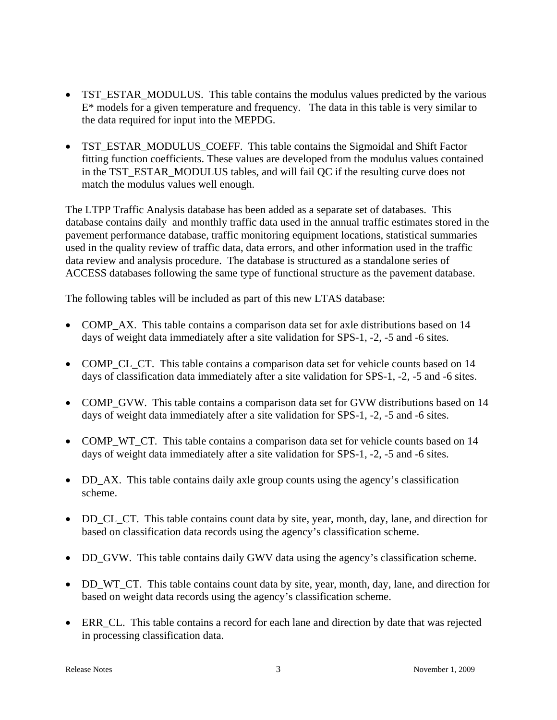- TST\_ESTAR\_MODULUS. This table contains the modulus values predicted by the various  $E^*$  models for a given temperature and frequency. The data in this table is very similar to the data required for input into the MEPDG.
- TST\_ESTAR\_MODULUS\_COEFF. This table contains the Sigmoidal and Shift Factor fitting function coefficients. These values are developed from the modulus values contained in the TST\_ESTAR\_MODULUS tables, and will fail QC if the resulting curve does not match the modulus values well enough.

The LTPP Traffic Analysis database has been added as a separate set of databases. This database contains daily and monthly traffic data used in the annual traffic estimates stored in the pavement performance database, traffic monitoring equipment locations, statistical summaries used in the quality review of traffic data, data errors, and other information used in the traffic data review and analysis procedure. The database is structured as a standalone series of ACCESS databases following the same type of functional structure as the pavement database.

The following tables will be included as part of this new LTAS database:

- COMP\_AX. This table contains a comparison data set for axle distributions based on 14 days of weight data immediately after a site validation for SPS-1, -2, -5 and -6 sites.
- COMP\_CL\_CT. This table contains a comparison data set for vehicle counts based on 14 days of classification data immediately after a site validation for SPS-1, -2, -5 and -6 sites.
- COMP\_GVW. This table contains a comparison data set for GVW distributions based on 14 days of weight data immediately after a site validation for SPS-1, -2, -5 and -6 sites.
- COMP\_WT\_CT. This table contains a comparison data set for vehicle counts based on 14 days of weight data immediately after a site validation for SPS-1, -2, -5 and -6 sites.
- DD\_AX. This table contains daily axle group counts using the agency's classification scheme.
- DD\_CL\_CT. This table contains count data by site, year, month, day, lane, and direction for based on classification data records using the agency's classification scheme.
- DD\_GVW. This table contains daily GWV data using the agency's classification scheme.
- DD\_WT\_CT. This table contains count data by site, year, month, day, lane, and direction for based on weight data records using the agency's classification scheme.
- ERR\_CL. This table contains a record for each lane and direction by date that was rejected in processing classification data.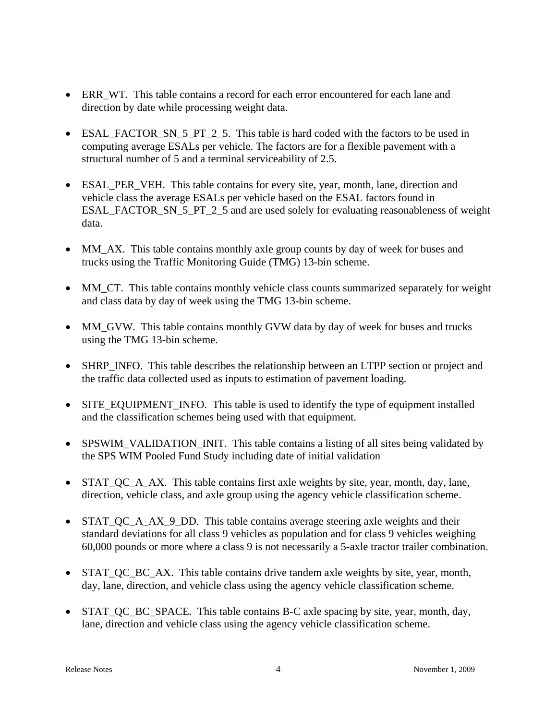- ERR WT. This table contains a record for each error encountered for each lane and direction by date while processing weight data.
- ESAL FACTOR SN 5 PT 2 5. This table is hard coded with the factors to be used in computing average ESALs per vehicle. The factors are for a flexible pavement with a structural number of 5 and a terminal serviceability of 2.5.
- ESAL\_PER\_VEH. This table contains for every site, year, month, lane, direction and vehicle class the average ESALs per vehicle based on the ESAL factors found in ESAL\_FACTOR\_SN\_5\_PT\_2\_5 and are used solely for evaluating reasonableness of weight data.
- MM\_AX. This table contains monthly axle group counts by day of week for buses and trucks using the Traffic Monitoring Guide (TMG) 13-bin scheme.
- MM\_CT. This table contains monthly vehicle class counts summarized separately for weight and class data by day of week using the TMG 13-bin scheme.
- MM GVW. This table contains monthly GVW data by day of week for buses and trucks using the TMG 13-bin scheme.
- SHRP INFO. This table describes the relationship between an LTPP section or project and the traffic data collected used as inputs to estimation of pavement loading.
- SITE\_EQUIPMENT\_INFO. This table is used to identify the type of equipment installed and the classification schemes being used with that equipment.
- SPSWIM\_VALIDATION\_INIT. This table contains a listing of all sites being validated by the SPS WIM Pooled Fund Study including date of initial validation
- STAT\_QC\_A\_AX. This table contains first axle weights by site, year, month, day, lane, direction, vehicle class, and axle group using the agency vehicle classification scheme.
- STAT\_QC\_A\_AX\_9\_DD. This table contains average steering axle weights and their standard deviations for all class 9 vehicles as population and for class 9 vehicles weighing 60,000 pounds or more where a class 9 is not necessarily a 5-axle tractor trailer combination.
- STAT QC BC AX. This table contains drive tandem axle weights by site, year, month, day, lane, direction, and vehicle class using the agency vehicle classification scheme.
- STAT QC BC SPACE. This table contains B-C axle spacing by site, year, month, day, lane, direction and vehicle class using the agency vehicle classification scheme.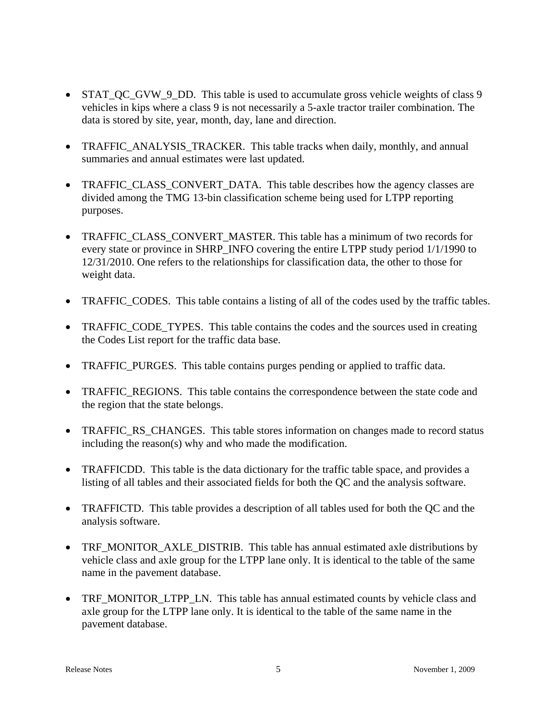- STAT\_QC\_GVW\_9\_DD. This table is used to accumulate gross vehicle weights of class 9 vehicles in kips where a class 9 is not necessarily a 5-axle tractor trailer combination. The data is stored by site, year, month, day, lane and direction.
- TRAFFIC\_ANALYSIS\_TRACKER. This table tracks when daily, monthly, and annual summaries and annual estimates were last updated.
- TRAFFIC\_CLASS\_CONVERT\_DATA. This table describes how the agency classes are divided among the TMG 13-bin classification scheme being used for LTPP reporting purposes.
- TRAFFIC CLASS CONVERT MASTER. This table has a minimum of two records for every state or province in SHRP\_INFO covering the entire LTPP study period 1/1/1990 to 12/31/2010. One refers to the relationships for classification data, the other to those for weight data.
- TRAFFIC CODES. This table contains a listing of all of the codes used by the traffic tables.
- TRAFFIC CODE TYPES. This table contains the codes and the sources used in creating the Codes List report for the traffic data base.
- TRAFFIC PURGES. This table contains purges pending or applied to traffic data.
- TRAFFIC\_REGIONS. This table contains the correspondence between the state code and the region that the state belongs.
- TRAFFIC RS CHANGES. This table stores information on changes made to record status including the reason(s) why and who made the modification.
- TRAFFICDD. This table is the data dictionary for the traffic table space, and provides a listing of all tables and their associated fields for both the QC and the analysis software.
- TRAFFICTD. This table provides a description of all tables used for both the QC and the analysis software.
- TRF\_MONITOR\_AXLE\_DISTRIB. This table has annual estimated axle distributions by vehicle class and axle group for the LTPP lane only. It is identical to the table of the same name in the pavement database.
- TRF\_MONITOR\_LTPP\_LN. This table has annual estimated counts by vehicle class and axle group for the LTPP lane only. It is identical to the table of the same name in the pavement database.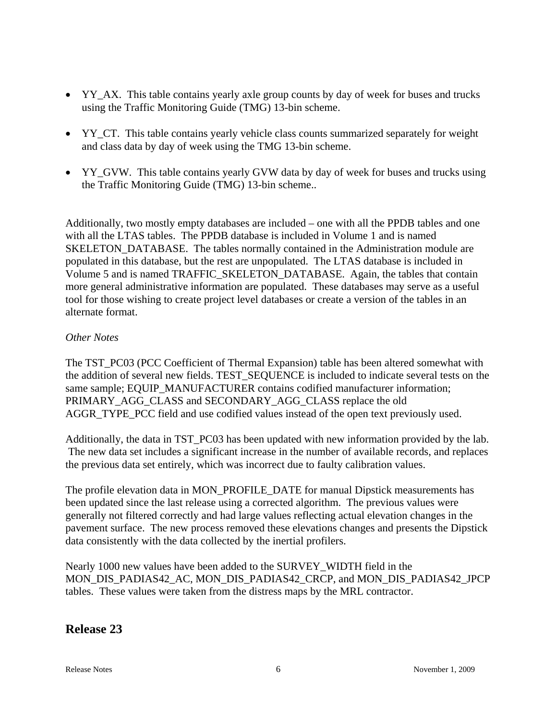- YY\_AX. This table contains yearly axle group counts by day of week for buses and trucks using the Traffic Monitoring Guide (TMG) 13-bin scheme.
- YY CT. This table contains yearly vehicle class counts summarized separately for weight and class data by day of week using the TMG 13-bin scheme.
- YY GVW. This table contains yearly GVW data by day of week for buses and trucks using the Traffic Monitoring Guide (TMG) 13-bin scheme..

Additionally, two mostly empty databases are included – one with all the PPDB tables and one with all the LTAS tables. The PPDB database is included in Volume 1 and is named SKELETON DATABASE. The tables normally contained in the Administration module are populated in this database, but the rest are unpopulated. The LTAS database is included in Volume 5 and is named TRAFFIC\_SKELETON\_DATABASE. Again, the tables that contain more general administrative information are populated. These databases may serve as a useful tool for those wishing to create project level databases or create a version of the tables in an alternate format.

### *Other Notes*

The TST\_PC03 (PCC Coefficient of Thermal Expansion) table has been altered somewhat with the addition of several new fields. TEST\_SEQUENCE is included to indicate several tests on the same sample; EQUIP\_MANUFACTURER contains codified manufacturer information; PRIMARY\_AGG\_CLASS and SECONDARY\_AGG\_CLASS replace the old AGGR\_TYPE\_PCC field and use codified values instead of the open text previously used.

Additionally, the data in TST\_PC03 has been updated with new information provided by the lab. The new data set includes a significant increase in the number of available records, and replaces the previous data set entirely, which was incorrect due to faulty calibration values.

The profile elevation data in MON\_PROFILE\_DATE for manual Dipstick measurements has been updated since the last release using a corrected algorithm. The previous values were generally not filtered correctly and had large values reflecting actual elevation changes in the pavement surface. The new process removed these elevations changes and presents the Dipstick data consistently with the data collected by the inertial profilers.

Nearly 1000 new values have been added to the SURVEY\_WIDTH field in the MON\_DIS\_PADIAS42\_AC, MON\_DIS\_PADIAS42\_CRCP, and MON\_DIS\_PADIAS42\_JPCP tables. These values were taken from the distress maps by the MRL contractor.

# **Release 23**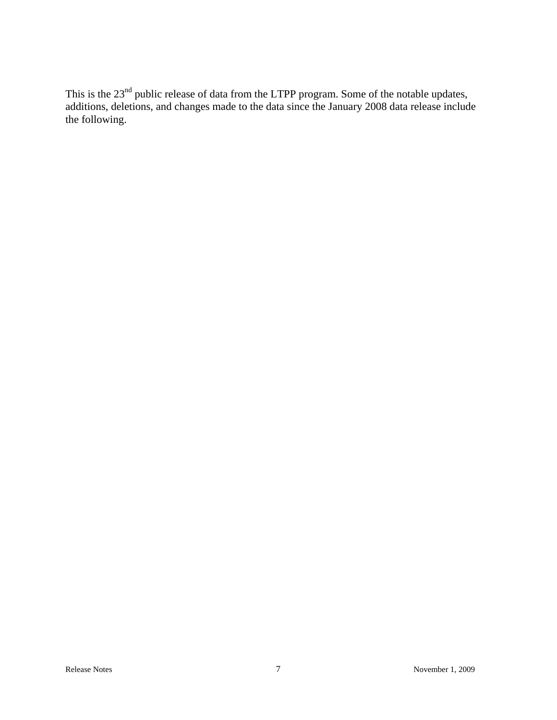This is the  $23<sup>nd</sup>$  public release of data from the LTPP program. Some of the notable updates, additions, deletions, and changes made to the data since the January 2008 data release include the following.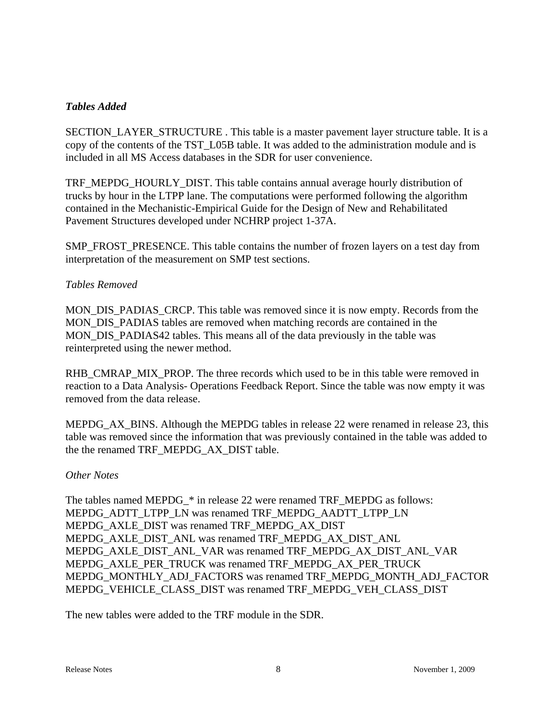### *Tables Added*

SECTION\_LAYER\_STRUCTURE . This table is a master pavement layer structure table. It is a copy of the contents of the TST\_L05B table. It was added to the administration module and is included in all MS Access databases in the SDR for user convenience.

TRF\_MEPDG\_HOURLY\_DIST. This table contains annual average hourly distribution of trucks by hour in the LTPP lane. The computations were performed following the algorithm contained in the Mechanistic-Empirical Guide for the Design of New and Rehabilitated Pavement Structures developed under NCHRP project 1-37A.

SMP\_FROST\_PRESENCE. This table contains the number of frozen layers on a test day from interpretation of the measurement on SMP test sections.

### *Tables Removed*

MON\_DIS\_PADIAS\_CRCP. This table was removed since it is now empty. Records from the MON\_DIS\_PADIAS tables are removed when matching records are contained in the MON DIS PADIAS42 tables. This means all of the data previously in the table was reinterpreted using the newer method.

RHB\_CMRAP\_MIX\_PROP. The three records which used to be in this table were removed in reaction to a Data Analysis- Operations Feedback Report. Since the table was now empty it was removed from the data release.

MEPDG\_AX\_BINS. Although the MEPDG tables in release 22 were renamed in release 23, this table was removed since the information that was previously contained in the table was added to the the renamed TRF\_MEPDG\_AX\_DIST table.

#### *Other Notes*

The tables named MEPDG  $*$  in release 22 were renamed TRF\_MEPDG as follows: MEPDG\_ADTT\_LTPP\_LN was renamed TRF\_MEPDG\_AADTT\_LTPP\_LN MEPDG\_AXLE\_DIST was renamed TRF\_MEPDG\_AX\_DIST MEPDG\_AXLE\_DIST\_ANL was renamed TRF\_MEPDG\_AX\_DIST\_ANL MEPDG\_AXLE\_DIST\_ANL\_VAR was renamed TRF\_MEPDG\_AX\_DIST\_ANL\_VAR MEPDG\_AXLE\_PER\_TRUCK was renamed TRF\_MEPDG\_AX\_PER\_TRUCK MEPDG\_MONTHLY\_ADJ\_FACTORS was renamed TRF\_MEPDG\_MONTH\_ADJ\_FACTOR MEPDG\_VEHICLE\_CLASS\_DIST was renamed TRF\_MEPDG\_VEH\_CLASS\_DIST

The new tables were added to the TRF module in the SDR.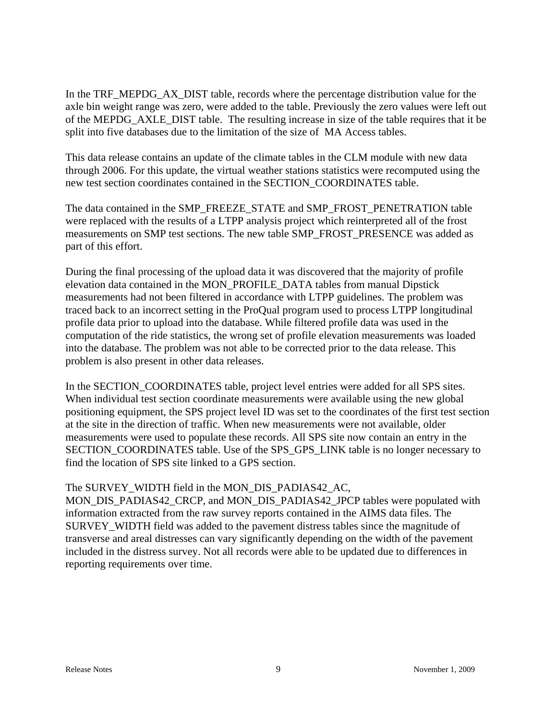In the TRF\_MEPDG\_AX\_DIST table, records where the percentage distribution value for the axle bin weight range was zero, were added to the table. Previously the zero values were left out of the MEPDG\_AXLE\_DIST table. The resulting increase in size of the table requires that it be split into five databases due to the limitation of the size of MA Access tables.

This data release contains an update of the climate tables in the CLM module with new data through 2006. For this update, the virtual weather stations statistics were recomputed using the new test section coordinates contained in the SECTION\_COORDINATES table.

The data contained in the SMP\_FREEZE\_STATE and SMP\_FROST\_PENETRATION table were replaced with the results of a LTPP analysis project which reinterpreted all of the frost measurements on SMP test sections. The new table SMP\_FROST\_PRESENCE was added as part of this effort.

During the final processing of the upload data it was discovered that the majority of profile elevation data contained in the MON\_PROFILE\_DATA tables from manual Dipstick measurements had not been filtered in accordance with LTPP guidelines. The problem was traced back to an incorrect setting in the ProQual program used to process LTPP longitudinal profile data prior to upload into the database. While filtered profile data was used in the computation of the ride statistics, the wrong set of profile elevation measurements was loaded into the database. The problem was not able to be corrected prior to the data release. This problem is also present in other data releases.

In the SECTION COORDINATES table, project level entries were added for all SPS sites. When individual test section coordinate measurements were available using the new global positioning equipment, the SPS project level ID was set to the coordinates of the first test section at the site in the direction of traffic. When new measurements were not available, older measurements were used to populate these records. All SPS site now contain an entry in the SECTION\_COORDINATES table. Use of the SPS\_GPS\_LINK table is no longer necessary to find the location of SPS site linked to a GPS section.

### The SURVEY\_WIDTH field in the MON\_DIS\_PADIAS42\_AC,

MON\_DIS\_PADIAS42\_CRCP, and MON\_DIS\_PADIAS42\_JPCP tables were populated with information extracted from the raw survey reports contained in the AIMS data files. The SURVEY WIDTH field was added to the pavement distress tables since the magnitude of transverse and areal distresses can vary significantly depending on the width of the pavement included in the distress survey. Not all records were able to be updated due to differences in reporting requirements over time.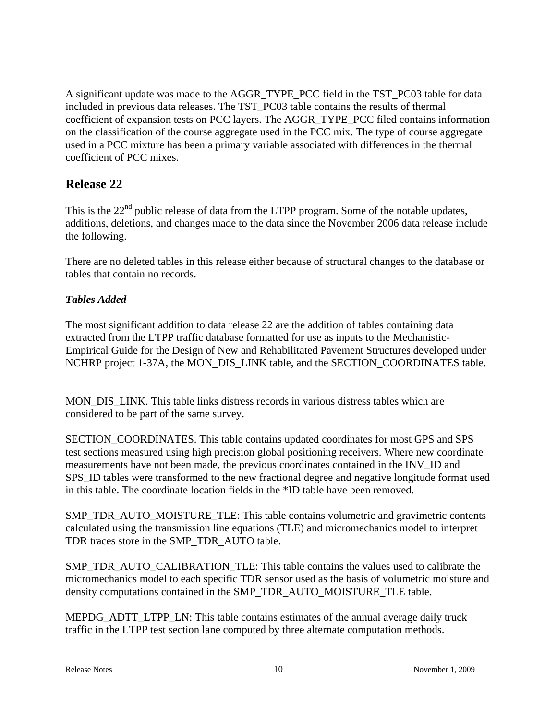A significant update was made to the AGGR\_TYPE\_PCC field in the TST\_PC03 table for data included in previous data releases. The TST\_PC03 table contains the results of thermal coefficient of expansion tests on PCC layers. The AGGR\_TYPE\_PCC filed contains information on the classification of the course aggregate used in the PCC mix. The type of course aggregate used in a PCC mixture has been a primary variable associated with differences in the thermal coefficient of PCC mixes.

# **Release 22**

This is the  $22<sup>nd</sup>$  public release of data from the LTPP program. Some of the notable updates, additions, deletions, and changes made to the data since the November 2006 data release include the following.

There are no deleted tables in this release either because of structural changes to the database or tables that contain no records.

# *Tables Added*

The most significant addition to data release 22 are the addition of tables containing data extracted from the LTPP traffic database formatted for use as inputs to the Mechanistic-Empirical Guide for the Design of New and Rehabilitated Pavement Structures developed under NCHRP project 1-37A, the MON\_DIS\_LINK table, and the SECTION\_COORDINATES table.

MON\_DIS\_LINK. This table links distress records in various distress tables which are considered to be part of the same survey.

SECTION\_COORDINATES. This table contains updated coordinates for most GPS and SPS test sections measured using high precision global positioning receivers. Where new coordinate measurements have not been made, the previous coordinates contained in the INV\_ID and SPS ID tables were transformed to the new fractional degree and negative longitude format used in this table. The coordinate location fields in the \*ID table have been removed.

SMP\_TDR\_AUTO\_MOISTURE\_TLE: This table contains volumetric and gravimetric contents calculated using the transmission line equations (TLE) and micromechanics model to interpret TDR traces store in the SMP\_TDR\_AUTO table.

SMP\_TDR\_AUTO\_CALIBRATION\_TLE: This table contains the values used to calibrate the micromechanics model to each specific TDR sensor used as the basis of volumetric moisture and density computations contained in the SMP\_TDR\_AUTO\_MOISTURE\_TLE table.

MEPDG\_ADTT\_LTPP\_LN: This table contains estimates of the annual average daily truck traffic in the LTPP test section lane computed by three alternate computation methods.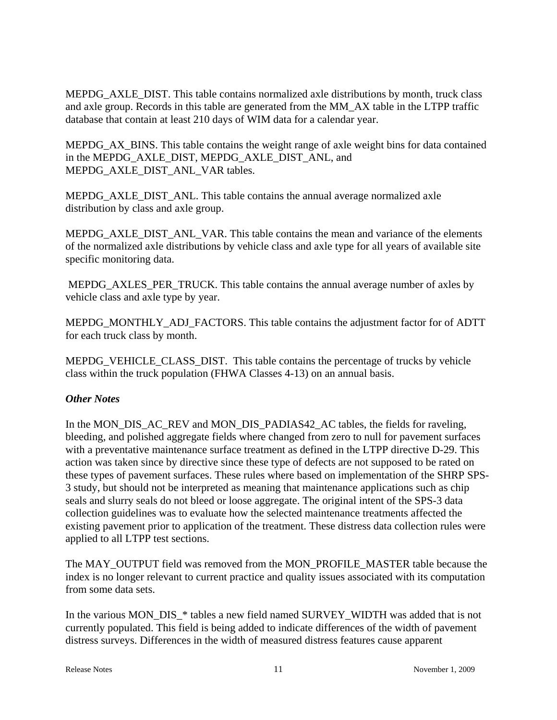MEPDG\_AXLE\_DIST. This table contains normalized axle distributions by month, truck class and axle group. Records in this table are generated from the MM\_AX table in the LTPP traffic database that contain at least 210 days of WIM data for a calendar year.

MEPDG\_AX\_BINS. This table contains the weight range of axle weight bins for data contained in the MEPDG\_AXLE\_DIST, MEPDG\_AXLE\_DIST\_ANL, and MEPDG\_AXLE\_DIST\_ANL\_VAR tables.

MEPDG\_AXLE\_DIST\_ANL. This table contains the annual average normalized axle distribution by class and axle group.

MEPDG\_AXLE\_DIST\_ANL\_VAR. This table contains the mean and variance of the elements of the normalized axle distributions by vehicle class and axle type for all years of available site specific monitoring data.

 MEPDG\_AXLES\_PER\_TRUCK. This table contains the annual average number of axles by vehicle class and axle type by year.

MEPDG\_MONTHLY\_ADJ\_FACTORS. This table contains the adjustment factor for of ADTT for each truck class by month.

MEPDG\_VEHICLE\_CLASS\_DIST. This table contains the percentage of trucks by vehicle class within the truck population (FHWA Classes 4-13) on an annual basis.

### *Other Notes*

In the MON\_DIS\_AC\_REV and MON\_DIS\_PADIAS42\_AC tables, the fields for raveling, bleeding, and polished aggregate fields where changed from zero to null for pavement surfaces with a preventative maintenance surface treatment as defined in the LTPP directive D-29. This action was taken since by directive since these type of defects are not supposed to be rated on these types of pavement surfaces. These rules where based on implementation of the SHRP SPS-3 study, but should not be interpreted as meaning that maintenance applications such as chip seals and slurry seals do not bleed or loose aggregate. The original intent of the SPS-3 data collection guidelines was to evaluate how the selected maintenance treatments affected the existing pavement prior to application of the treatment. These distress data collection rules were applied to all LTPP test sections.

The MAY\_OUTPUT field was removed from the MON\_PROFILE\_MASTER table because the index is no longer relevant to current practice and quality issues associated with its computation from some data sets.

In the various MON\_DIS\_\* tables a new field named SURVEY\_WIDTH was added that is not currently populated. This field is being added to indicate differences of the width of pavement distress surveys. Differences in the width of measured distress features cause apparent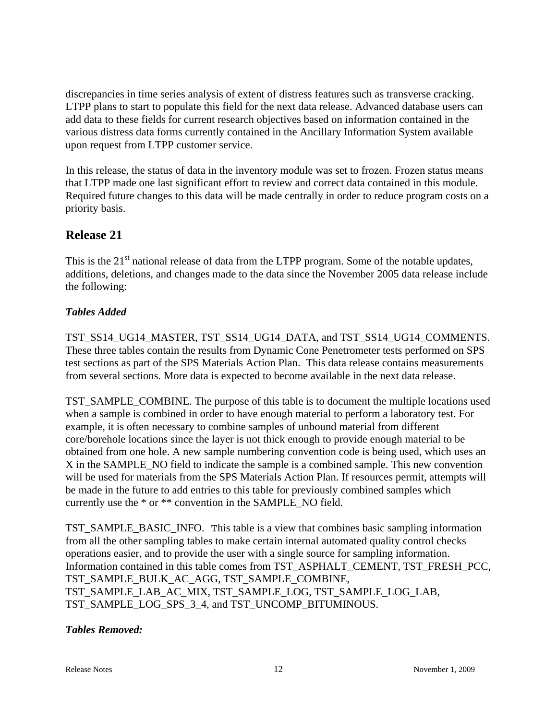discrepancies in time series analysis of extent of distress features such as transverse cracking. LTPP plans to start to populate this field for the next data release. Advanced database users can add data to these fields for current research objectives based on information contained in the various distress data forms currently contained in the Ancillary Information System available upon request from LTPP customer service.

In this release, the status of data in the inventory module was set to frozen. Frozen status means that LTPP made one last significant effort to review and correct data contained in this module. Required future changes to this data will be made centrally in order to reduce program costs on a priority basis.

# **Release 21**

This is the  $21<sup>st</sup>$  national release of data from the LTPP program. Some of the notable updates, additions, deletions, and changes made to the data since the November 2005 data release include the following:

# *Tables Added*

TST\_SS14\_UG14\_MASTER, TST\_SS14\_UG14\_DATA, and TST\_SS14\_UG14\_COMMENTS. These three tables contain the results from Dynamic Cone Penetrometer tests performed on SPS test sections as part of the SPS Materials Action Plan. This data release contains measurements from several sections. More data is expected to become available in the next data release.

TST\_SAMPLE\_COMBINE. The purpose of this table is to document the multiple locations used when a sample is combined in order to have enough material to perform a laboratory test. For example, it is often necessary to combine samples of unbound material from different core/borehole locations since the layer is not thick enough to provide enough material to be obtained from one hole. A new sample numbering convention code is being used, which uses an X in the SAMPLE\_NO field to indicate the sample is a combined sample. This new convention will be used for materials from the SPS Materials Action Plan. If resources permit, attempts will be made in the future to add entries to this table for previously combined samples which currently use the \* or \*\* convention in the SAMPLE\_NO field.

TST\_SAMPLE\_BASIC\_INFO. This table is a view that combines basic sampling information from all the other sampling tables to make certain internal automated quality control checks operations easier, and to provide the user with a single source for sampling information. Information contained in this table comes from TST\_ASPHALT\_CEMENT, TST\_FRESH\_PCC, TST\_SAMPLE\_BULK\_AC\_AGG, TST\_SAMPLE\_COMBINE, TST\_SAMPLE\_LAB\_AC\_MIX, TST\_SAMPLE\_LOG, TST\_SAMPLE\_LOG\_LAB, TST\_SAMPLE\_LOG\_SPS\_3\_4, and TST\_UNCOMP\_BITUMINOUS.

### *Tables Removed:*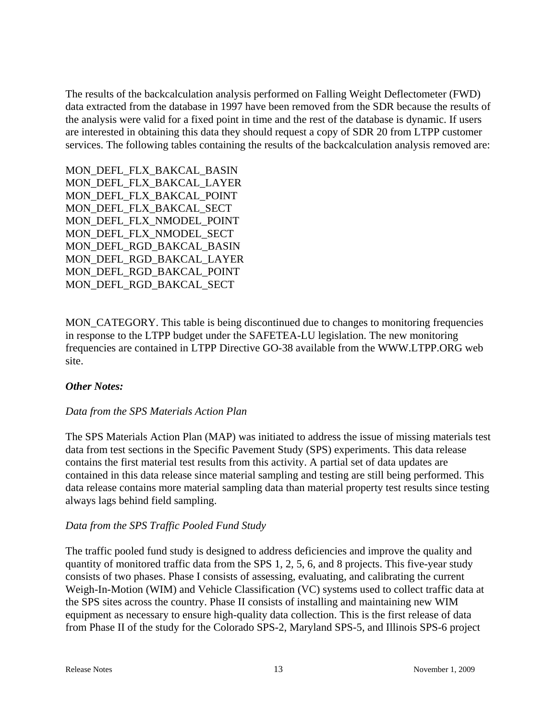The results of the backcalculation analysis performed on Falling Weight Deflectometer (FWD) data extracted from the database in 1997 have been removed from the SDR because the results of the analysis were valid for a fixed point in time and the rest of the database is dynamic. If users are interested in obtaining this data they should request a copy of SDR 20 from LTPP customer services. The following tables containing the results of the backcalculation analysis removed are:

MON\_DEFL\_FLX\_BAKCAL\_BASIN MON\_DEFL\_FLX\_BAKCAL\_LAYER MON\_DEFL\_FLX\_BAKCAL\_POINT MON\_DEFL\_FLX\_BAKCAL\_SECT MON\_DEFL\_FLX\_NMODEL\_POINT MON DEFL\_FLX\_NMODEL\_SECT MON\_DEFL\_RGD\_BAKCAL\_BASIN MON\_DEFL\_RGD\_BAKCAL\_LAYER MON\_DEFL\_RGD\_BAKCAL\_POINT MON\_DEFL\_RGD\_BAKCAL\_SECT

MON\_CATEGORY. This table is being discontinued due to changes to monitoring frequencies in response to the LTPP budget under the SAFETEA-LU legislation. The new monitoring frequencies are contained in LTPP Directive GO-38 available from the WWW.LTPP.ORG web site.

### *Other Notes:*

### *Data from the SPS Materials Action Plan*

The SPS Materials Action Plan (MAP) was initiated to address the issue of missing materials test data from test sections in the Specific Pavement Study (SPS) experiments. This data release contains the first material test results from this activity. A partial set of data updates are contained in this data release since material sampling and testing are still being performed. This data release contains more material sampling data than material property test results since testing always lags behind field sampling.

### *Data from the SPS Traffic Pooled Fund Study*

The traffic pooled fund study is designed to address deficiencies and improve the quality and quantity of monitored traffic data from the SPS 1, 2, 5, 6, and 8 projects. This five-year study consists of two phases. Phase I consists of assessing, evaluating, and calibrating the current Weigh-In-Motion (WIM) and Vehicle Classification (VC) systems used to collect traffic data at the SPS sites across the country. Phase II consists of installing and maintaining new WIM equipment as necessary to ensure high-quality data collection. This is the first release of data from Phase II of the study for the Colorado SPS-2, Maryland SPS-5, and Illinois SPS-6 project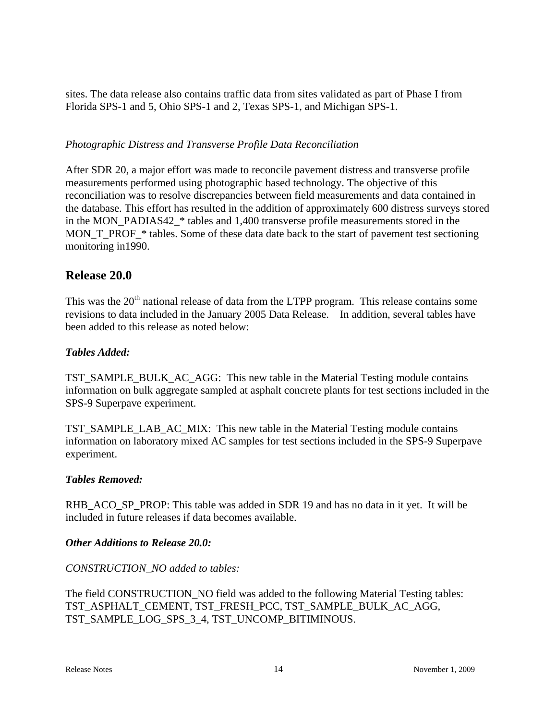sites. The data release also contains traffic data from sites validated as part of Phase I from Florida SPS-1 and 5, Ohio SPS-1 and 2, Texas SPS-1, and Michigan SPS-1.

### *Photographic Distress and Transverse Profile Data Reconciliation*

After SDR 20, a major effort was made to reconcile pavement distress and transverse profile measurements performed using photographic based technology. The objective of this reconciliation was to resolve discrepancies between field measurements and data contained in the database. This effort has resulted in the addition of approximately 600 distress surveys stored in the MON\_PADIAS42\_\* tables and 1,400 transverse profile measurements stored in the MON\_T\_PROF\_\* tables. Some of these data date back to the start of pavement test sectioning monitoring in1990.

# **Release 20.0**

This was the 20<sup>th</sup> national release of data from the LTPP program. This release contains some revisions to data included in the January 2005 Data Release. In addition, several tables have been added to this release as noted below:

### *Tables Added:*

TST\_SAMPLE\_BULK\_AC\_AGG: This new table in the Material Testing module contains information on bulk aggregate sampled at asphalt concrete plants for test sections included in the SPS-9 Superpave experiment.

TST\_SAMPLE\_LAB\_AC\_MIX: This new table in the Material Testing module contains information on laboratory mixed AC samples for test sections included in the SPS-9 Superpave experiment.

### *Tables Removed:*

RHB\_ACO\_SP\_PROP: This table was added in SDR 19 and has no data in it yet. It will be included in future releases if data becomes available.

### *Other Additions to Release 20.0:*

### *CONSTRUCTION\_NO added to tables:*

The field CONSTRUCTION\_NO field was added to the following Material Testing tables: TST\_ASPHALT\_CEMENT, TST\_FRESH\_PCC, TST\_SAMPLE\_BULK\_AC\_AGG, TST\_SAMPLE\_LOG\_SPS\_3\_4, TST\_UNCOMP\_BITIMINOUS.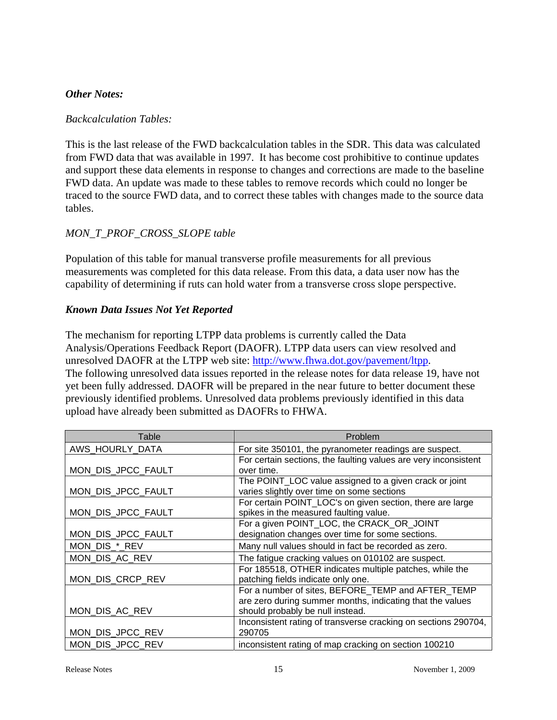### *Other Notes:*

### *Backcalculation Tables:*

This is the last release of the FWD backcalculation tables in the SDR. This data was calculated from FWD data that was available in 1997. It has become cost prohibitive to continue updates and support these data elements in response to changes and corrections are made to the baseline FWD data. An update was made to these tables to remove records which could no longer be traced to the source FWD data, and to correct these tables with changes made to the source data tables.

### *MON\_T\_PROF\_CROSS\_SLOPE table*

Population of this table for manual transverse profile measurements for all previous measurements was completed for this data release. From this data, a data user now has the capability of determining if ruts can hold water from a transverse cross slope perspective.

### *Known Data Issues Not Yet Reported*

The mechanism for reporting LTPP data problems is currently called the Data Analysis/Operations Feedback Report (DAOFR). LTPP data users can view resolved and unresolved DAOFR at the LTPP web site: [http://www.fhwa.dot.gov/pavement/ltpp.](http://www.fhwa.dot.gov/pavement/ltpp) The following unresolved data issues reported in the release notes for data release 19, have not yet been fully addressed. DAOFR will be prepared in the near future to better document these previously identified problems. Unresolved data problems previously identified in this data upload have already been submitted as DAOFRs to FHWA.

| Table              | Problem                                                         |
|--------------------|-----------------------------------------------------------------|
| AWS_HOURLY_DATA    | For site 350101, the pyranometer readings are suspect.          |
|                    | For certain sections, the faulting values are very inconsistent |
| MON_DIS_JPCC_FAULT | over time.                                                      |
|                    | The POINT_LOC value assigned to a given crack or joint          |
| MON_DIS_JPCC_FAULT | varies slightly over time on some sections                      |
|                    | For certain POINT_LOC's on given section, there are large       |
| MON_DIS_JPCC_FAULT | spikes in the measured faulting value.                          |
|                    | For a given POINT_LOC, the CRACK_OR_JOINT                       |
| MON_DIS_JPCC_FAULT | designation changes over time for some sections.                |
| MON_DIS_*_REV      | Many null values should in fact be recorded as zero.            |
| MON_DIS_AC_REV     | The fatigue cracking values on 010102 are suspect.              |
|                    | For 185518, OTHER indicates multiple patches, while the         |
| MON_DIS_CRCP_REV   | patching fields indicate only one.                              |
|                    | For a number of sites, BEFORE_TEMP and AFTER_TEMP               |
|                    | are zero during summer months, indicating that the values       |
| MON_DIS_AC_REV     | should probably be null instead.                                |
|                    | Inconsistent rating of transverse cracking on sections 290704,  |
| MON_DIS_JPCC_REV   | 290705                                                          |
| MON DIS JPCC REV   | inconsistent rating of map cracking on section 100210           |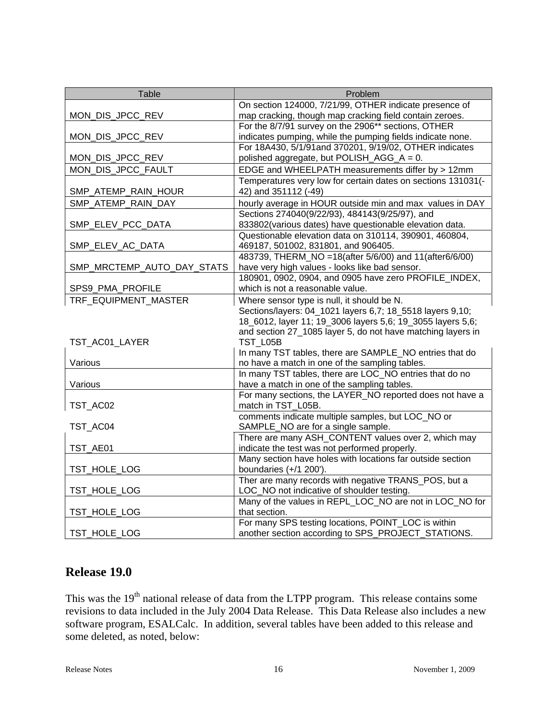| <b>Table</b>               | Problem                                                      |
|----------------------------|--------------------------------------------------------------|
|                            | On section 124000, 7/21/99, OTHER indicate presence of       |
| MON_DIS_JPCC_REV           | map cracking, though map cracking field contain zeroes.      |
|                            | For the 8/7/91 survey on the 2906** sections, OTHER          |
| MON_DIS_JPCC_REV           | indicates pumping, while the pumping fields indicate none.   |
|                            | For 18A430, 5/1/91and 370201, 9/19/02, OTHER indicates       |
| MON_DIS_JPCC_REV           | polished aggregate, but POLISH_AGG_A = 0.                    |
| MON_DIS_JPCC_FAULT         | EDGE and WHEELPATH measurements differ by > 12mm             |
|                            | Temperatures very low for certain dates on sections 131031(- |
| SMP_ATEMP_RAIN_HOUR        | 42) and 351112 (-49)                                         |
| SMP ATEMP RAIN DAY         | hourly average in HOUR outside min and max values in DAY     |
|                            | Sections 274040(9/22/93), 484143(9/25/97), and               |
| SMP_ELEV_PCC_DATA          | 833802(various dates) have questionable elevation data.      |
|                            | Questionable elevation data on 310114, 390901, 460804,       |
| SMP_ELEV_AC_DATA           | 469187, 501002, 831801, and 906405.                          |
|                            | 483739, THERM_NO = 18(after 5/6/00) and 11(after6/6/00)      |
| SMP_MRCTEMP_AUTO_DAY_STATS | have very high values - looks like bad sensor.               |
|                            | 180901, 0902, 0904, and 0905 have zero PROFILE INDEX,        |
| SPS9_PMA_PROFILE           | which is not a reasonable value.                             |
| TRF EQUIPMENT MASTER       | Where sensor type is null, it should be N.                   |
|                            | Sections/layers: 04_1021 layers 6,7; 18_5518 layers 9,10;    |
|                            | 18_6012, layer 11; 19_3006 layers 5,6; 19_3055 layers 5,6;   |
|                            | and section 27_1085 layer 5, do not have matching layers in  |
| TST_AC01_LAYER             | TST L05B                                                     |
|                            | In many TST tables, there are SAMPLE_NO entries that do      |
| Various                    | no have a match in one of the sampling tables.               |
|                            | In many TST tables, there are LOC NO entries that do no      |
| Various                    | have a match in one of the sampling tables.                  |
|                            | For many sections, the LAYER_NO reported does not have a     |
| TST_AC02                   | match in TST_L05B.                                           |
|                            | comments indicate multiple samples, but LOC_NO or            |
| TST AC04                   | SAMPLE_NO are for a single sample.                           |
|                            | There are many ASH_CONTENT values over 2, which may          |
| TST_AE01                   | indicate the test was not performed properly.                |
|                            | Many section have holes with locations far outside section   |
| TST_HOLE_LOG               | boundaries $(+/1 200')$ .                                    |
|                            | Ther are many records with negative TRANS_POS, but a         |
| TST_HOLE_LOG               | LOC_NO not indicative of shoulder testing.                   |
|                            | Many of the values in REPL_LOC_NO are not in LOC_NO for      |
| TST_HOLE_LOG               | that section.                                                |
|                            | For many SPS testing locations, POINT_LOC is within          |
| TST_HOLE_LOG               | another section according to SPS_PROJECT_STATIONS.           |

# **Release 19.0**

This was the 19<sup>th</sup> national release of data from the LTPP program. This release contains some revisions to data included in the July 2004 Data Release. This Data Release also includes a new software program, ESALCalc. In addition, several tables have been added to this release and some deleted, as noted, below: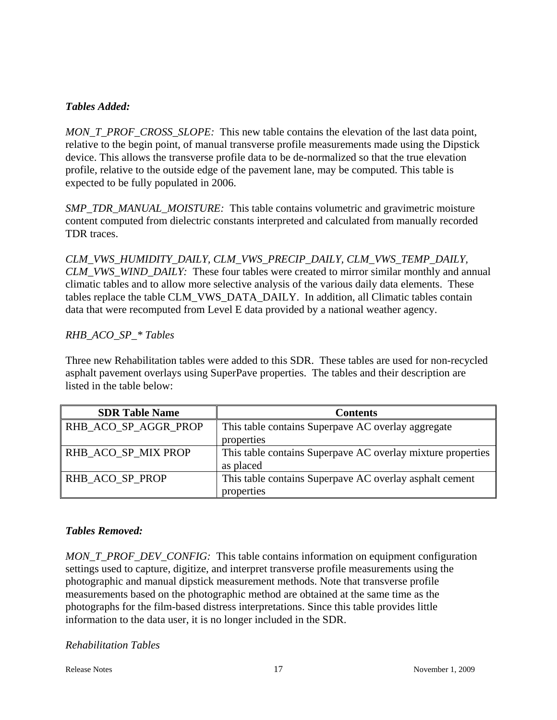### *Tables Added:*

*MON\_T\_PROF\_CROSS\_SLOPE:* This new table contains the elevation of the last data point, relative to the begin point, of manual transverse profile measurements made using the Dipstick device. This allows the transverse profile data to be de-normalized so that the true elevation profile, relative to the outside edge of the pavement lane, may be computed. This table is expected to be fully populated in 2006.

*SMP\_TDR\_MANUAL\_MOISTURE:* This table contains volumetric and gravimetric moisture content computed from dielectric constants interpreted and calculated from manually recorded TDR traces.

*CLM\_VWS\_HUMIDITY\_DAILY, CLM\_VWS\_PRECIP\_DAILY, CLM\_VWS\_TEMP\_DAILY, CLM\_VWS\_WIND\_DAILY:* These four tables were created to mirror similar monthly and annual climatic tables and to allow more selective analysis of the various daily data elements. These tables replace the table CLM\_VWS\_DATA\_DAILY. In addition, all Climatic tables contain data that were recomputed from Level E data provided by a national weather agency.

### *RHB\_ACO\_SP\_\* Tables*

Three new Rehabilitation tables were added to this SDR. These tables are used for non-recycled asphalt pavement overlays using SuperPave properties. The tables and their description are listed in the table below:

| <b>SDR Table Name</b> | Contents                                                    |
|-----------------------|-------------------------------------------------------------|
| RHB_ACO_SP_AGGR_PROP  | This table contains Superpave AC overlay aggregate          |
|                       | properties                                                  |
| RHB ACO SP MIX PROP   | This table contains Superpave AC overlay mixture properties |
|                       | as placed                                                   |
| RHB_ACO_SP_PROP       | This table contains Superpave AC overlay asphalt cement     |
|                       | properties                                                  |

### *Tables Removed:*

*MON\_T\_PROF\_DEV\_CONFIG:* This table contains information on equipment configuration settings used to capture, digitize, and interpret transverse profile measurements using the photographic and manual dipstick measurement methods. Note that transverse profile measurements based on the photographic method are obtained at the same time as the photographs for the film-based distress interpretations. Since this table provides little information to the data user, it is no longer included in the SDR.

### *Rehabilitation Tables*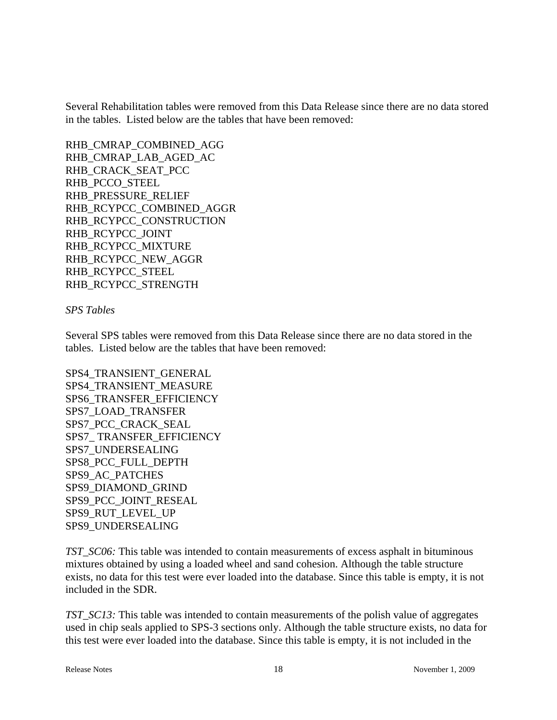Several Rehabilitation tables were removed from this Data Release since there are no data stored in the tables. Listed below are the tables that have been removed:

RHB\_CMRAP\_COMBINED\_AGG RHB\_CMRAP\_LAB\_AGED\_AC RHB\_CRACK\_SEAT\_PCC RHB\_PCCO\_STEEL RHB\_PRESSURE\_RELIEF RHB\_RCYPCC\_COMBINED\_AGGR RHB\_RCYPCC\_CONSTRUCTION RHB\_RCYPCC\_JOINT RHB\_RCYPCC\_MIXTURE RHB\_RCYPCC\_NEW\_AGGR RHB\_RCYPCC\_STEEL RHB\_RCYPCC\_STRENGTH

### *SPS Tables*

Several SPS tables were removed from this Data Release since there are no data stored in the tables. Listed below are the tables that have been removed:

SPS4\_TRANSIENT\_GENERAL SPS4\_TRANSIENT\_MEASURE SPS6\_TRANSFER\_EFFICIENCY SPS7\_LOAD\_TRANSFER SPS7\_PCC\_CRACK\_SEAL SPS7\_ TRANSFER\_EFFICIENCY SPS7\_UNDERSEALING SPS8\_PCC\_FULL\_DEPTH SPS9\_AC\_PATCHES SPS9\_DIAMOND\_GRIND SPS9\_PCC\_JOINT\_RESEAL SPS9\_RUT\_LEVEL\_UP SPS9\_UNDERSEALING

*TST\_SC06:* This table was intended to contain measurements of excess asphalt in bituminous mixtures obtained by using a loaded wheel and sand cohesion. Although the table structure exists, no data for this test were ever loaded into the database. Since this table is empty, it is not included in the SDR.

*TST\_SC13:* This table was intended to contain measurements of the polish value of aggregates used in chip seals applied to SPS-3 sections only. Although the table structure exists, no data for this test were ever loaded into the database. Since this table is empty, it is not included in the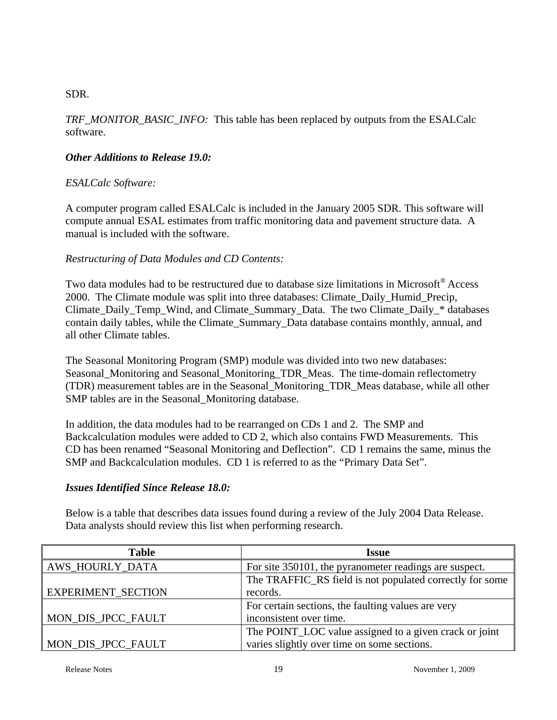### SDR.

*TRF\_MONITOR\_BASIC\_INFO:* This table has been replaced by outputs from the ESALCalc software.

### *Other Additions to Release 19.0:*

### *ESALCalc Software:*

A computer program called ESALCalc is included in the January 2005 SDR. This software will compute annual ESAL estimates from traffic monitoring data and pavement structure data. A manual is included with the software.

### *Restructuring of Data Modules and CD Contents:*

Two data modules had to be restructured due to database size limitations in Microsoft® Access 2000. The Climate module was split into three databases: Climate\_Daily\_Humid\_Precip, Climate\_Daily\_Temp\_Wind, and Climate\_Summary\_Data. The two Climate\_Daily\_\* databases contain daily tables, while the Climate\_Summary\_Data database contains monthly, annual, and all other Climate tables.

The Seasonal Monitoring Program (SMP) module was divided into two new databases: Seasonal\_Monitoring and Seasonal\_Monitoring\_TDR\_Meas. The time-domain reflectometry (TDR) measurement tables are in the Seasonal\_Monitoring\_TDR\_Meas database, while all other SMP tables are in the Seasonal Monitoring database.

In addition, the data modules had to be rearranged on CDs 1 and 2. The SMP and Backcalculation modules were added to CD 2, which also contains FWD Measurements. This CD has been renamed "Seasonal Monitoring and Deflection". CD 1 remains the same, minus the SMP and Backcalculation modules. CD 1 is referred to as the "Primary Data Set".

### *Issues Identified Since Release 18.0:*

Below is a table that describes data issues found during a review of the July 2004 Data Release. Data analysts should review this list when performing research.

| <b>Table</b>       | Issue                                                    |
|--------------------|----------------------------------------------------------|
| AWS_HOURLY_DATA    | For site 350101, the pyranometer readings are suspect.   |
|                    | The TRAFFIC_RS field is not populated correctly for some |
| EXPERIMENT_SECTION | records.                                                 |
|                    | For certain sections, the faulting values are very       |
| MON_DIS_JPCC_FAULT | inconsistent over time.                                  |
|                    | The POINT_LOC value assigned to a given crack or joint   |
| MON_DIS_JPCC_FAULT | varies slightly over time on some sections.              |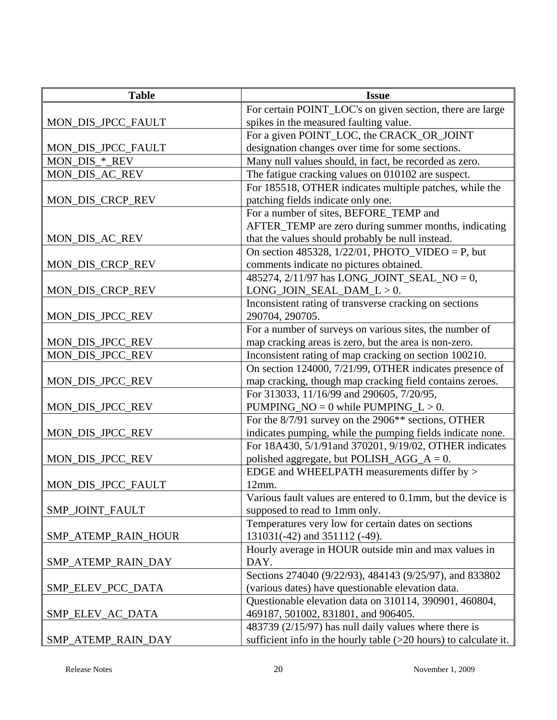| <b>Table</b>        | <b>Issue</b>                                                       |
|---------------------|--------------------------------------------------------------------|
|                     | For certain POINT_LOC's on given section, there are large          |
| MON_DIS_JPCC_FAULT  | spikes in the measured faulting value.                             |
|                     | For a given POINT_LOC, the CRACK_OR_JOINT                          |
| MON_DIS_JPCC_FAULT  | designation changes over time for some sections.                   |
| MON_DIS_*_REV       | Many null values should, in fact, be recorded as zero.             |
| MON_DIS_AC_REV      | The fatigue cracking values on 010102 are suspect.                 |
|                     | For 185518, OTHER indicates multiple patches, while the            |
| MON_DIS_CRCP_REV    | patching fields indicate only one.                                 |
|                     | For a number of sites, BEFORE_TEMP and                             |
|                     | AFTER_TEMP are zero during summer months, indicating               |
| MON_DIS_AC_REV      | that the values should probably be null instead.                   |
|                     | On section 485328, $1/22/01$ , PHOTO_VIDEO = P, but                |
| MON_DIS_CRCP_REV    | comments indicate no pictures obtained.                            |
|                     | 485274, 2/11/97 has LONG_JOINT_SEAL_NO = 0,                        |
| MON_DIS_CRCP_REV    | $LONG_JOIN_SEAL_DAM_L > 0.$                                        |
|                     | Inconsistent rating of transverse cracking on sections             |
| MON_DIS_JPCC_REV    | 290704, 290705.                                                    |
|                     | For a number of surveys on various sites, the number of            |
| MON_DIS_JPCC_REV    | map cracking areas is zero, but the area is non-zero.              |
| MON_DIS_JPCC_REV    | Inconsistent rating of map cracking on section 100210.             |
|                     | On section 124000, 7/21/99, OTHER indicates presence of            |
| MON_DIS_JPCC_REV    | map cracking, though map cracking field contains zeroes.           |
|                     | For 313033, 11/16/99 and 290605, 7/20/95,                          |
| MON_DIS_JPCC_REV    | PUMPING_NO = $0$ while PUMPING_L > 0.                              |
|                     | For the 8/7/91 survey on the 2906 <sup>**</sup> sections, OTHER    |
| MON_DIS_JPCC_REV    | indicates pumping, while the pumping fields indicate none.         |
|                     | For 18A430, 5/1/91and 370201, 9/19/02, OTHER indicates             |
| MON_DIS_JPCC_REV    | polished aggregate, but POLISH_AGG_A = $0$ .                       |
|                     | EDGE and WHEELPATH measurements differ by >                        |
| MON_DIS_JPCC_FAULT  | 12mm.                                                              |
|                     | Various fault values are entered to 0.1mm, but the device is       |
| SMP_JOINT_FAULT     | supposed to read to 1mm only.                                      |
|                     | Temperatures very low for certain dates on sections                |
| SMP ATEMP RAIN HOUR | 131031(-42) and 351112 (-49).                                      |
|                     | Hourly average in HOUR outside min and max values in               |
| SMP_ATEMP_RAIN_DAY  | DAY.                                                               |
|                     | Sections 274040 (9/22/93), 484143 (9/25/97), and 833802            |
| SMP_ELEV_PCC_DATA   | (various dates) have questionable elevation data.                  |
|                     | Questionable elevation data on 310114, 390901, 460804,             |
| SMP_ELEV_AC_DATA    | 469187, 501002, 831801, and 906405.                                |
|                     | 483739 (2/15/97) has null daily values where there is              |
| SMP_ATEMP_RAIN_DAY  | sufficient info in the hourly table $(>20$ hours) to calculate it. |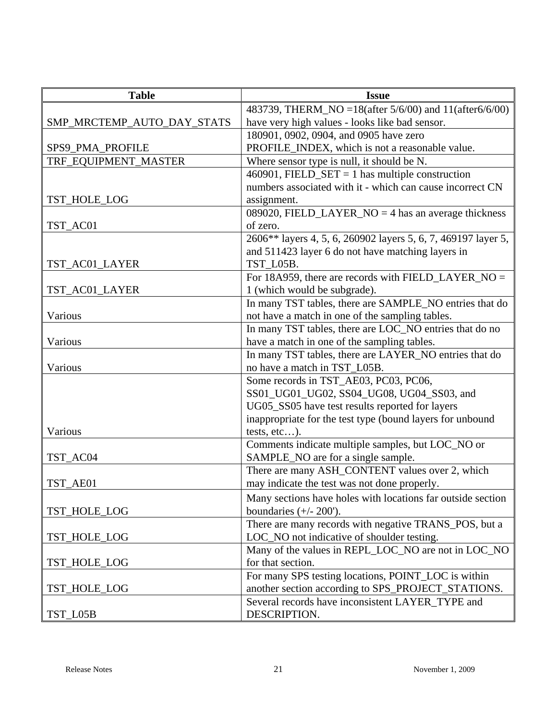| <b>Table</b>               | <b>Issue</b>                                                  |
|----------------------------|---------------------------------------------------------------|
|                            | 483739, THERM_NO = 18(after 5/6/00) and 11(after6/6/00)       |
| SMP_MRCTEMP_AUTO_DAY_STATS | have very high values - looks like bad sensor.                |
|                            | 180901, 0902, 0904, and 0905 have zero                        |
| SPS9_PMA_PROFILE           | PROFILE_INDEX, which is not a reasonable value.               |
| TRF_EQUIPMENT_MASTER       | Where sensor type is null, it should be N.                    |
|                            | 460901, FIELD_SET = 1 has multiple construction               |
|                            | numbers associated with it - which can cause incorrect CN     |
| TST_HOLE_LOG               | assignment.                                                   |
|                            | 089020, FIELD_LAYER_NO = 4 has an average thickness           |
| TST_AC01                   | of zero.                                                      |
|                            | 2606** layers 4, 5, 6, 260902 layers 5, 6, 7, 469197 layer 5, |
|                            | and 511423 layer 6 do not have matching layers in             |
| TST_AC01_LAYER             | TST_L05B.                                                     |
|                            | For 18A959, there are records with FIELD_LAYER_NO =           |
| TST_AC01_LAYER             | 1 (which would be subgrade).                                  |
|                            | In many TST tables, there are SAMPLE_NO entries that do       |
| Various                    | not have a match in one of the sampling tables.               |
|                            | In many TST tables, there are LOC_NO entries that do no       |
| Various                    | have a match in one of the sampling tables.                   |
|                            | In many TST tables, there are LAYER_NO entries that do        |
| Various                    | no have a match in TST_L05B.                                  |
|                            | Some records in TST_AE03, PC03, PC06,                         |
|                            | SS01_UG01_UG02, SS04_UG08, UG04_SS03, and                     |
|                            | UG05_SS05 have test results reported for layers               |
|                            | inappropriate for the test type (bound layers for unbound     |
| Various                    | tests, etc).                                                  |
|                            | Comments indicate multiple samples, but LOC_NO or             |
| TST_AC04                   | SAMPLE_NO are for a single sample.                            |
|                            | There are many ASH_CONTENT values over 2, which               |
| TST_AE01                   | may indicate the test was not done properly.                  |
|                            | Many sections have holes with locations far outside section   |
| TST_HOLE_LOG               | boundaries $(+/- 200')$ .                                     |
|                            | There are many records with negative TRANS_POS, but a         |
| TST_HOLE_LOG               | LOC_NO not indicative of shoulder testing.                    |
|                            | Many of the values in REPL_LOC_NO are not in LOC_NO           |
| TST_HOLE_LOG               | for that section.                                             |
|                            | For many SPS testing locations, POINT_LOC is within           |
| TST_HOLE_LOG               | another section according to SPS_PROJECT_STATIONS.            |
|                            | Several records have inconsistent LAYER_TYPE and              |
| TST_L05B                   | DESCRIPTION.                                                  |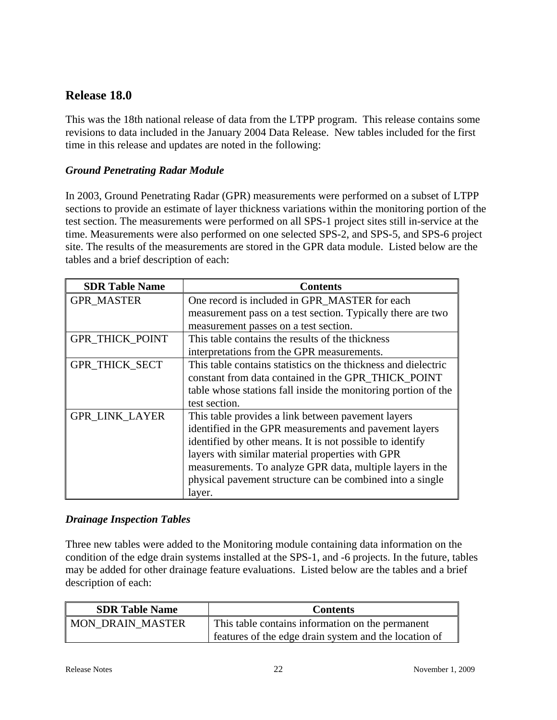# **Release 18.0**

This was the 18th national release of data from the LTPP program. This release contains some revisions to data included in the January 2004 Data Release. New tables included for the first time in this release and updates are noted in the following:

### *Ground Penetrating Radar Module*

In 2003, Ground Penetrating Radar (GPR) measurements were performed on a subset of LTPP sections to provide an estimate of layer thickness variations within the monitoring portion of the test section. The measurements were performed on all SPS-1 project sites still in-service at the time. Measurements were also performed on one selected SPS-2, and SPS-5, and SPS-6 project site. The results of the measurements are stored in the GPR data module. Listed below are the tables and a brief description of each:

| <b>SDR Table Name</b>  | <b>Contents</b>                                                |
|------------------------|----------------------------------------------------------------|
| <b>GPR_MASTER</b>      | One record is included in GPR MASTER for each                  |
|                        | measurement pass on a test section. Typically there are two    |
|                        | measurement passes on a test section.                          |
| <b>GPR THICK POINT</b> | This table contains the results of the thickness               |
|                        | interpretations from the GPR measurements.                     |
| GPR_THICK_SECT         | This table contains statistics on the thickness and dielectric |
|                        | constant from data contained in the GPR THICK POINT            |
|                        | table whose stations fall inside the monitoring portion of the |
|                        | test section.                                                  |
| <b>GPR LINK LAYER</b>  | This table provides a link between pavement layers             |
|                        | identified in the GPR measurements and pavement layers         |
|                        | identified by other means. It is not possible to identify      |
|                        | layers with similar material properties with GPR               |
|                        | measurements. To analyze GPR data, multiple layers in the      |
|                        | physical pavement structure can be combined into a single      |
|                        | layer.                                                         |

### *Drainage Inspection Tables*

Three new tables were added to the Monitoring module containing data information on the condition of the edge drain systems installed at the SPS-1, and -6 projects. In the future, tables may be added for other drainage feature evaluations. Listed below are the tables and a brief description of each:

| <b>SDR Table Name</b>   | <b>Contents</b>                                       |
|-------------------------|-------------------------------------------------------|
| <b>MON DRAIN MASTER</b> | This table contains information on the permanent      |
|                         | features of the edge drain system and the location of |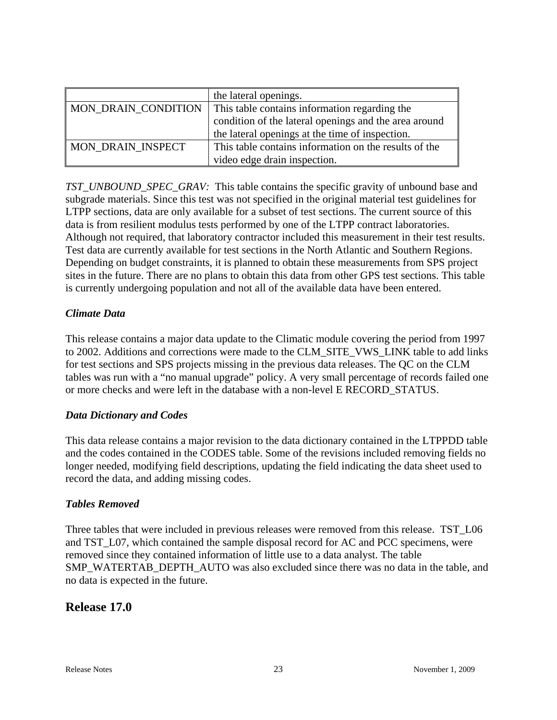|                            | the lateral openings.                                 |
|----------------------------|-------------------------------------------------------|
| <b>MON DRAIN CONDITION</b> | This table contains information regarding the         |
|                            | condition of the lateral openings and the area around |
|                            | the lateral openings at the time of inspection.       |
| <b>MON DRAIN INSPECT</b>   | This table contains information on the results of the |
|                            | video edge drain inspection.                          |

*TST\_UNBOUND\_SPEC\_GRAV:* This table contains the specific gravity of unbound base and subgrade materials. Since this test was not specified in the original material test guidelines for LTPP sections, data are only available for a subset of test sections. The current source of this data is from resilient modulus tests performed by one of the LTPP contract laboratories. Although not required, that laboratory contractor included this measurement in their test results. Test data are currently available for test sections in the North Atlantic and Southern Regions. Depending on budget constraints, it is planned to obtain these measurements from SPS project sites in the future. There are no plans to obtain this data from other GPS test sections. This table is currently undergoing population and not all of the available data have been entered.

### *Climate Data*

This release contains a major data update to the Climatic module covering the period from 1997 to 2002. Additions and corrections were made to the CLM\_SITE\_VWS\_LINK table to add links for test sections and SPS projects missing in the previous data releases. The QC on the CLM tables was run with a "no manual upgrade" policy. A very small percentage of records failed one or more checks and were left in the database with a non-level E RECORD\_STATUS.

### *Data Dictionary and Codes*

This data release contains a major revision to the data dictionary contained in the LTPPDD table and the codes contained in the CODES table. Some of the revisions included removing fields no longer needed, modifying field descriptions, updating the field indicating the data sheet used to record the data, and adding missing codes.

### *Tables Removed*

Three tables that were included in previous releases were removed from this release. TST L06 and TST\_L07, which contained the sample disposal record for AC and PCC specimens, were removed since they contained information of little use to a data analyst. The table SMP\_WATERTAB\_DEPTH\_AUTO was also excluded since there was no data in the table, and no data is expected in the future.

# **Release 17.0**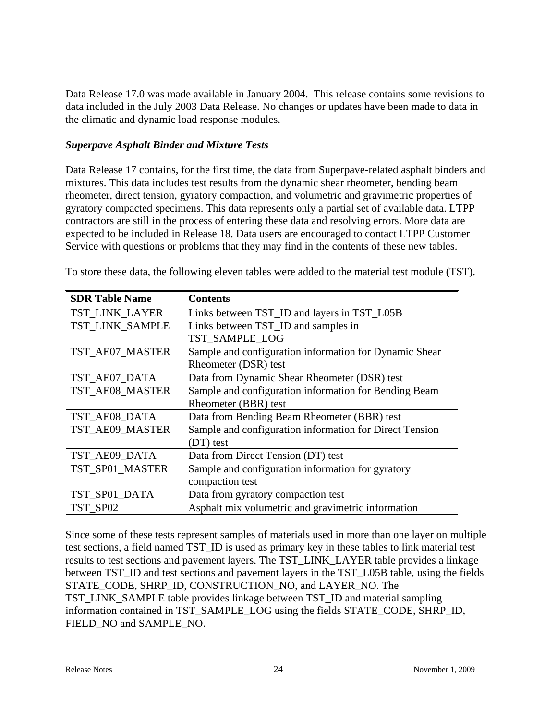Data Release 17.0 was made available in January 2004. This release contains some revisions to data included in the July 2003 Data Release. No changes or updates have been made to data in the climatic and dynamic load response modules.

### *Superpave Asphalt Binder and Mixture Tests*

Data Release 17 contains, for the first time, the data from Superpave-related asphalt binders and mixtures. This data includes test results from the dynamic shear rheometer, bending beam rheometer, direct tension, gyratory compaction, and volumetric and gravimetric properties of gyratory compacted specimens. This data represents only a partial set of available data. LTPP contractors are still in the process of entering these data and resolving errors. More data are expected to be included in Release 18. Data users are encouraged to contact LTPP Customer Service with questions or problems that they may find in the contents of these new tables.

| <b>SDR Table Name</b> | <b>Contents</b>                                         |
|-----------------------|---------------------------------------------------------|
| TST LINK LAYER        | Links between TST_ID and layers in TST_L05B             |
| TST LINK SAMPLE       | Links between TST_ID and samples in                     |
|                       | TST_SAMPLE_LOG                                          |
| TST_AE07_MASTER       | Sample and configuration information for Dynamic Shear  |
|                       | Rheometer (DSR) test                                    |
| TST_AE07_DATA         | Data from Dynamic Shear Rheometer (DSR) test            |
| TST_AE08_MASTER       | Sample and configuration information for Bending Beam   |
|                       | Rheometer (BBR) test                                    |
| TST_AE08_DATA         | Data from Bending Beam Rheometer (BBR) test             |
| TST_AE09_MASTER       | Sample and configuration information for Direct Tension |
|                       | (DT) test                                               |
| TST_AE09_DATA         | Data from Direct Tension (DT) test                      |
| TST_SP01_MASTER       | Sample and configuration information for gyratory       |
|                       | compaction test                                         |
| TST_SP01_DATA         | Data from gyratory compaction test                      |
| TST SP02              | Asphalt mix volumetric and gravimetric information      |

To store these data, the following eleven tables were added to the material test module (TST).

Since some of these tests represent samples of materials used in more than one layer on multiple test sections, a field named TST\_ID is used as primary key in these tables to link material test results to test sections and pavement layers. The TST\_LINK\_LAYER table provides a linkage between TST. ID and test sections and pavement layers in the TST. L05B table, using the fields STATE\_CODE, SHRP\_ID, CONSTRUCTION\_NO, and LAYER\_NO. The TST\_LINK\_SAMPLE table provides linkage between TST\_ID and material sampling information contained in TST\_SAMPLE\_LOG using the fields STATE\_CODE, SHRP\_ID, FIELD\_NO and SAMPLE\_NO.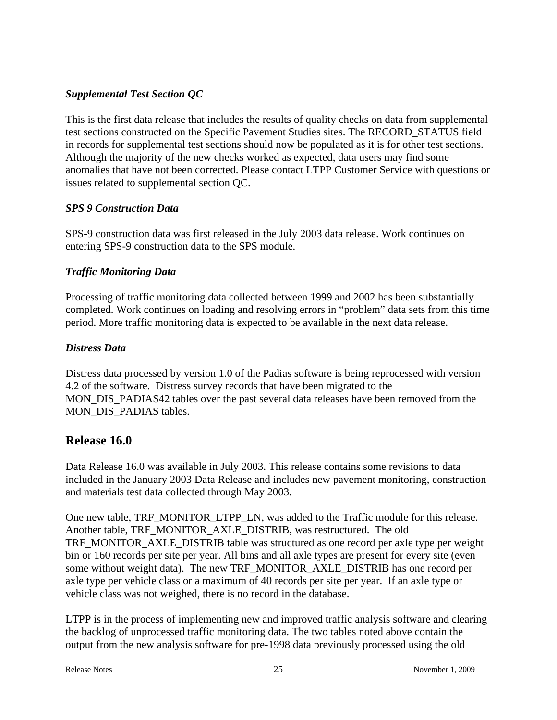### *Supplemental Test Section QC*

This is the first data release that includes the results of quality checks on data from supplemental test sections constructed on the Specific Pavement Studies sites. The RECORD\_STATUS field in records for supplemental test sections should now be populated as it is for other test sections. Although the majority of the new checks worked as expected, data users may find some anomalies that have not been corrected. Please contact LTPP Customer Service with questions or issues related to supplemental section QC.

### *SPS 9 Construction Data*

SPS-9 construction data was first released in the July 2003 data release. Work continues on entering SPS-9 construction data to the SPS module.

# *Traffic Monitoring Data*

Processing of traffic monitoring data collected between 1999 and 2002 has been substantially completed. Work continues on loading and resolving errors in "problem" data sets from this time period. More traffic monitoring data is expected to be available in the next data release.

# *Distress Data*

Distress data processed by version 1.0 of the Padias software is being reprocessed with version 4.2 of the software. Distress survey records that have been migrated to the MON\_DIS\_PADIAS42 tables over the past several data releases have been removed from the MON\_DIS\_PADIAS tables.

# **Release 16.0**

Data Release 16.0 was available in July 2003. This release contains some revisions to data included in the January 2003 Data Release and includes new pavement monitoring, construction and materials test data collected through May 2003.

One new table, TRF\_MONITOR\_LTPP\_LN, was added to the Traffic module for this release. Another table, TRF\_MONITOR\_AXLE\_DISTRIB, was restructured. The old TRF\_MONITOR\_AXLE\_DISTRIB table was structured as one record per axle type per weight bin or 160 records per site per year. All bins and all axle types are present for every site (even some without weight data). The new TRF\_MONITOR\_AXLE\_DISTRIB has one record per axle type per vehicle class or a maximum of 40 records per site per year. If an axle type or vehicle class was not weighed, there is no record in the database.

LTPP is in the process of implementing new and improved traffic analysis software and clearing the backlog of unprocessed traffic monitoring data. The two tables noted above contain the output from the new analysis software for pre-1998 data previously processed using the old